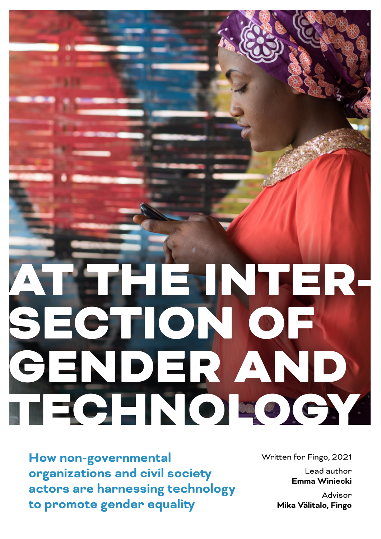# AT THE INTER-SECTION OF GENDER AND TECHNOLOGY

**How non-governmental organizations and civil society actors are harnessing technology to promote gender equality**

Written for Fingo, 2021

Lead author **Emma Winiecki**

Advisor **Mika Välitalo, Fingo**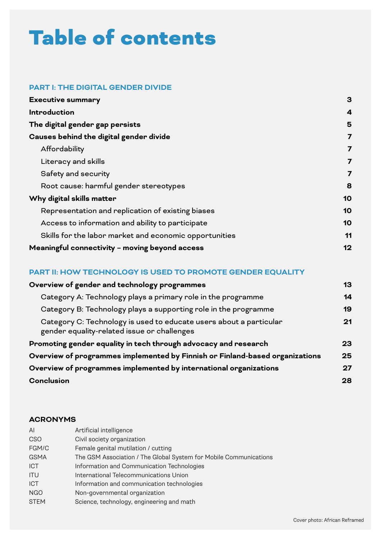# Table of contents

#### **PART I: THE DIGITAL GENDER DIVIDE**

| <b>Executive summary</b>                               | 3  |
|--------------------------------------------------------|----|
| <b>Introduction</b>                                    | 4  |
| The digital gender gap persists                        | 5  |
| Causes behind the digital gender divide                | 7  |
| Affordability                                          | 7  |
| Literacy and skills                                    | 7  |
| Safety and security                                    | 7  |
| Root cause: harmful gender stereotypes                 | 8  |
| Why digital skills matter                              | 10 |
| Representation and replication of existing biases      | 10 |
| Access to information and ability to participate       | 10 |
| Skills for the labor market and economic opportunities | 11 |
| Meaningful connectivity - moving beyond access         | 12 |

#### **PART II: HOW TECHNOLOGY IS USED TO PROMOTE GENDER EQUALITY**

| Overview of gender and technology programmes                                                                      | 13 |
|-------------------------------------------------------------------------------------------------------------------|----|
| Category A: Technology plays a primary role in the programme                                                      | 14 |
| Category B: Technology plays a supporting role in the programme                                                   | 19 |
| Category C: Technology is used to educate users about a particular<br>gender equality-related issue or challenges | 21 |
| Promoting gender equality in tech through advocacy and research                                                   | 23 |
| Overview of programmes implemented by Finnish or Finland-based organizations                                      |    |
| Overview of programmes implemented by international organizations                                                 |    |
| <b>Conclusion</b>                                                                                                 | 28 |

#### **ACRONYMS**

| AI          | Artificial intelligence                                           |
|-------------|-------------------------------------------------------------------|
| <b>CSO</b>  | Civil society organization                                        |
| FGM/C       | Female genital mutilation / cutting                               |
| <b>GSMA</b> | The GSM Association / The Global System for Mobile Communications |
| <b>ICT</b>  | Information and Communication Technologies                        |
| <b>ITU</b>  | International Telecommunications Union                            |
| <b>ICT</b>  | Information and communication technologies                        |
| <b>NGO</b>  | Non-governmental organization                                     |
| <b>STEM</b> | Science, technology, engineering and math                         |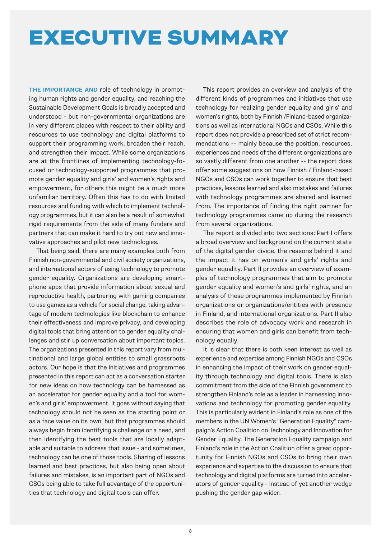### EXECUTIVE SUMMARY

**THE IMPORTANCE AND** role of technology in promoting human rights and gender equality, and reaching the Sustainable Development Goals is broadly accepted and understood - but non-governmental organizations are in very different places with respect to their ability and resources to use technology and digital platforms to support their programming work, broaden their reach, and strengthen their impact. While some organizations are at the frontlines of implementing technology-focused or technology-supported programmes that promote gender equality and girls' and women's rights and empowerment, for others this might be a much more unfamiliar territory. Often this has to do with limited resources and funding with which to implement technology programmes, but it can also be a result of somewhat rigid requirements from the side of many funders and partners that can make it hard to try out new and innovative approaches and pilot new technologies.

That being said, there are many examples both from Finnish non-governmental and civil society organizations, and international actors of using technology to promote gender equality. Organizations are developing smartphone apps that provide information about sexual and reproductive health, partnering with gaming companies to use games as a vehicle for social change, taking advantage of modern technologies like blockchain to enhance their effectiveness and improve privacy, and developing digital tools that bring attention to gender equality challenges and stir up conversation about important topics. The organizations presented in this report vary from multinational and large global entities to small grassroots actors. Our hope is that the initiatives and programmes presented in this report can act as a conversation starter for new ideas on how technology can be harnessed as an accelerator for gender equality and a tool for women's and girls' empowerment. It goes without saying that technology should not be seen as the starting point or as a face value on its own, but that programmes should always begin from identifying a challenge or a need, and then identifying the best tools that are locally adaptable and suitable to address that issue - and sometimes, technology can be one of those tools. Sharing of lessons learned and best practices, but also being open about failures and mistakes, is an important part of NGOs and CSOs being able to take full advantage of the opportunities that technology and digital tools can offer.

This report provides an overview and analysis of the different kinds of programmes and initiatives that use technology for realizing gender equality and girls' and women's rights, both by Finnish /Finland-based organizations as well as international NGOs and CSOs. While this report does not provide a prescribed set of strict recommendations -- mainly because the position, resources, experiences and needs of the different organizations are so vastly different from one another -- the report does offer some suggestions on how Finnish / Finland-based NGOs and CSOs can work together to ensure that best practices, lessons learned and also mistakes and failures with technology programmes are shared and learned from. The importance of finding the right partner for technology programmes came up during the research from several organizations.

The report is divided into two sections: Part I offers a broad overview and background on the current state of the digital gender divide, the reasons behind it and the impact it has on women's and girls' rights and gender equality. Part II provides an overview of examples of technology programmes that aim to promote gender equality and women's and girls' rights, and an analysis of these programmes implemented by Finnish organizations or organizations/entities with presence in Finland, and international organizations. Part II also describes the role of advocacy work and research in ensuring that women and girls can benefit from technology equally.

It is clear that there is both keen interest as well as experience and expertise among Finnish NGOs and CSOs in enhancing the impact of their work on gender equality through technology and digital tools. There is also commitment from the side of the Finnish government to strengthen Finland's role as a leader in harnessing innovations and technology for promoting gender equality. This is particularly evident in Finland's role as one of the members in the UN Women's "Generation Equality" campaign's Action Coalition on Technology and Innovation for Gender Equality. The Generation Equality campaign and Finland's role in the Action Coalition offer a great opportunity for Finnish NGOs and CSOs to bring their own experience and expertise to the discussion to ensure that technology and digital platforms are turned into accelerators of gender equality - instead of yet another wedge pushing the gender gap wider.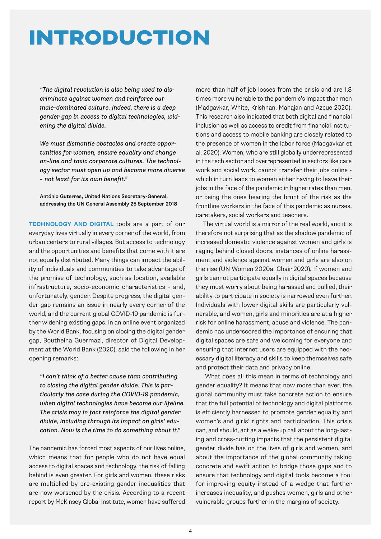### INTRODUCTION

*"The digital revolution is also being used to discriminate against women and reinforce our male-dominated culture. Indeed, there is a deep gender gap in access to digital technologies, widening the digital divide.* 

*We must dismantle obstacles and create opportunities for women, ensure equality and change on-line and toxic corporate cultures. The technology sector must open up and become more diverse – not least for its own benefit."*

António Guterres, United Nations Secretary-General, addressing the UN General Assembly 25 September 2018

**TECHNOLOGY AND DIGITAL** tools are a part of our everyday lives virtually in every corner of the world, from urban centers to rural villages. But access to technology and the opportunities and benefits that come with it are not equally distributed. Many things can impact the ability of individuals and communities to take advantage of the promise of technology, such as location, available infrastructure, socio-economic characteristics - and, unfortunately, gender. Despite progress, the digital gender gap remains an issue in nearly every corner of the world, and the current global COVID-19 pandemic is further widening existing gaps. In an online event organized by the World Bank, focusing on closing the digital gender gap, Boutheina Guermazi, director of Digital Development at the World Bank (2020), said the following in her opening remarks:

*"I can't think of a better cause than contributing to closing the digital gender divide. This is particularly the case during the COVID-19 pandemic, when digital technologies have become our lifeline. The crisis may in fact reinforce the digital gender divide, including through its impact on girls' education. Now is the time to do something about it."*

The pandemic has forced most aspects of our lives online, which means that for people who do not have equal access to digital spaces and technology, the risk of falling behind is even greater. For girls and women, these risks are multiplied by pre-existing gender inequalities that are now worsened by the crisis. According to a recent report by McKinsey Global Institute, women have suffered

more than half of job losses from the crisis and are 1.8 times more vulnerable to the pandemic's impact than men (Madgavkar, White, Krishnan, Mahajan and Azcue 2020). This research also indicated that both digital and financial inclusion as well as access to credit from financial institutions and access to mobile banking are closely related to the presence of women in the labor force (Madgavkar et al. 2020). Women, who are still globally underrepresented in the tech sector and overrepresented in sectors like care work and social work, cannot transfer their jobs online which in turn leads to women either having to leave their jobs in the face of the pandemic in higher rates than men, or being the ones bearing the brunt of the risk as the frontline workers in the face of this pandemic as nurses, caretakers, social workers and teachers.

The virtual world is a mirror of the real world, and it is therefore not surprising that as the shadow pandemic of increased domestic violence against women and girls is raging behind closed doors, instances of online harassment and violence against women and girls are also on the rise (UN Women 2020a, Chair 2020). If women and girls cannot participate equally in digital spaces because they must worry about being harassed and bullied, their ability to participate in society is narrowed even further. Individuals with lower digital skills are particularly vulnerable, and women, girls and minorities are at a higher risk for online harassment, abuse and violence. The pandemic has underscored the importance of ensuring that digital spaces are safe and welcoming for everyone and ensuring that internet users are equipped with the necessary digital literacy and skills to keep themselves safe and protect their data and privacy online.

 What does all this mean in terms of technology and gender equality? It means that now more than ever, the global community must take concrete action to ensure that the full potential of technology and digital platforms is efficiently harnessed to promote gender equality and women's and girls' rights and participation. This crisis can, and should, act as a wake-up call about the long-lasting and cross-cutting impacts that the persistent digital gender divide has on the lives of girls and women, and about the importance of the global community taking concrete and swift action to bridge those gaps and to ensure that technology and digital tools become a tool for improving equity instead of a wedge that further increases inequality, and pushes women, girls and other vulnerable groups further in the margins of society.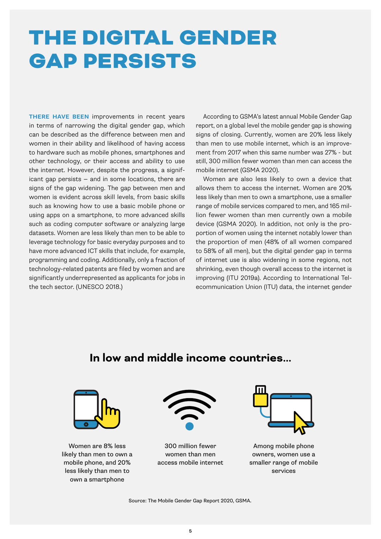# THE DIGITAL GENDER GAP PERSISTS

**THERE HAVE BEEN** improvements in recent years in terms of narrowing the digital gender gap, which can be described as the difference between men and women in their ability and likelihood of having access to hardware such as mobile phones, smartphones and other technology, or their access and ability to use the internet. However, despite the progress, a significant gap persists — and in some locations, there are signs of the gap widening. The gap between men and women is evident across skill levels, from basic skills such as knowing how to use a basic mobile phone or using apps on a smartphone, to more advanced skills such as coding computer software or analyzing large datasets. Women are less likely than men to be able to leverage technology for basic everyday purposes and to have more advanced ICT skills that include, for example, programming and coding. Additionally, only a fraction of technology-related patents are filed by women and are significantly underrepresented as applicants for jobs in the tech sector. (UNESCO 2018.)

According to GSMA's latest annual Mobile Gender Gap report, on a global level the mobile gender gap is showing signs of closing. Currently, women are 20% less likely than men to use mobile internet, which is an improvement from 2017 when this same number was 27% - but still, 300 million fewer women than men can access the mobile internet (GSMA 2020).

Women are also less likely to own a device that allows them to access the internet. Women are 20% less likely than men to own a smartphone, use a smaller range of mobile services compared to men, and 165 million fewer women than men currently own a mobile device (GSMA 2020). In addition, not only is the proportion of women using the internet notably lower than the proportion of men (48% of all women compared to 58% of all men), but the digital gender gap in terms of internet use is also widening in some regions, not shrinking, even though overall access to the internet is improving (ITU 2019a). According to International Telecommunication Union (ITU) data, the internet gender

### **In low and middle income countries...**



Women are 8% less likely than men to own a mobile phone, and 20% less likely than men to own a smartphone



300 million fewer women than men access mobile internet



Among mobile phone owners, women use a smaller range of mobile services

Source: The Mobile Gender Gap Report 2020, GSMA.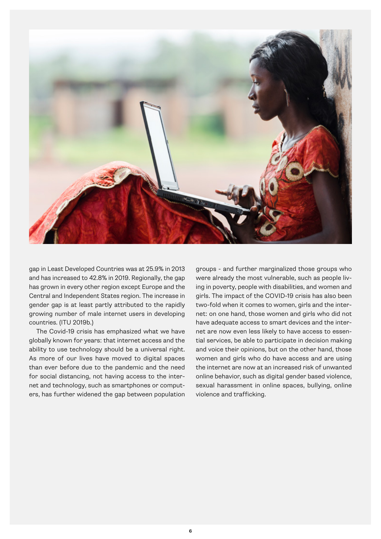

gap in Least Developed Countries was at 25.9% in 2013 and has increased to 42.8% in 2019. Regionally, the gap has grown in every other region except Europe and the Central and Independent States region. The increase in gender gap is at least partly attributed to the rapidly growing number of male internet users in developing countries. (ITU 2019b.)

The Covid-19 crisis has emphasized what we have globally known for years: that internet access and the ability to use technology should be a universal right. As more of our lives have moved to digital spaces than ever before due to the pandemic and the need for social distancing, not having access to the internet and technology, such as smartphones or computers, has further widened the gap between population

groups - and further marginalized those groups who were already the most vulnerable, such as people living in poverty, people with disabilities, and women and girls. The impact of the COVID-19 crisis has also been two-fold when it comes to women, girls and the internet: on one hand, those women and girls who did not have adequate access to smart devices and the internet are now even less likely to have access to essential services, be able to participate in decision making and voice their opinions, but on the other hand, those women and girls who do have access and are using the internet are now at an increased risk of unwanted online behavior, such as digital gender based violence, sexual harassment in online spaces, bullying, online violence and trafficking.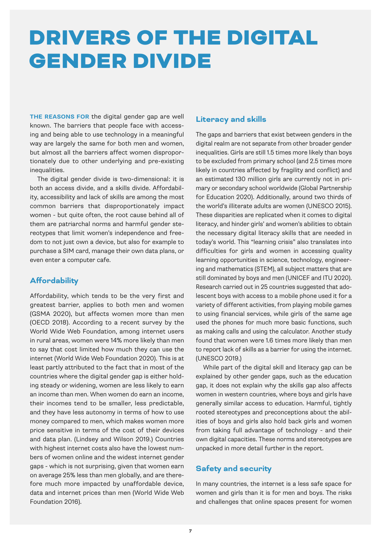### DRIVERS OF THE DIGITAL GENDER DIVIDE

**THE REASONS FOR** the digital gender gap are well known. The barriers that people face with accessing and being able to use technology in a meaningful way are largely the same for both men and women, but almost all the barriers affect women disproportionately due to other underlying and pre-existing inequalities.

The digital gender divide is two-dimensional: it is both an access divide, and a skills divide. Affordability, accessibility and lack of skills are among the most common barriers that disproportionately impact women - but quite often, the root cause behind all of them are patriarchal norms and harmful gender stereotypes that limit women's independence and freedom to not just own a device, but also for example to purchase a SIM card, manage their own data plans, or even enter a computer cafe.

#### **Affordability**

Affordability, which tends to be the very first and greatest barrier, applies to both men and women (GSMA 2020), but affects women more than men (OECD 2018). According to a recent survey by the World Wide Web Foundation, among internet users in rural areas, women were 14% more likely than men to say that cost limited how much they can use the internet (World Wide Web Foundation 2020). This is at least partly attributed to the fact that in most of the countries where the digital gender gap is either holding steady or widening, women are less likely to earn an income than men. When women do earn an income, their incomes tend to be smaller, less predictable, and they have less autonomy in terms of how to use money compared to men, which makes women more price sensitive in terms of the cost of their devices and data plan. (Lindsey and Wilson 2019.) Countries with highest internet costs also have the lowest numbers of women online and the widest internet gender gaps - which is not surprising, given that women earn on average 25% less than men globally, and are therefore much more impacted by unaffordable device, data and internet prices than men (World Wide Web Foundation 2016).

#### **Literacy and skills**

The gaps and barriers that exist between genders in the digital realm are not separate from other broader gender inequalities. Girls are still 1.5 times more likely than boys to be excluded from primary school (and 2.5 times more likely in countries affected by fragility and conflict) and an estimated 130 million girls are currently not in primary or secondary school worldwide (Global Partnership for Education 2020). Additionally, around two thirds of the world's illiterate adults are women (UNESCO 2015). These disparities are replicated when it comes to digital literacy, and hinder girls' and women's abilities to obtain the necessary digital literacy skills that are needed in today's world. This "learning crisis" also translates into difficulties for girls and women in accessing quality learning opportunities in science, technology, engineering and mathematics (STEM), all subject matters that are still dominated by boys and men (UNICEF and ITU 2020). Research carried out in 25 countries suggested that adolescent boys with access to a mobile phone used it for a variety of different activities, from playing mobile games to using financial services, while girls of the same age used the phones for much more basic functions, such as making calls and using the calculator. Another study found that women were 1.6 times more likely than men to report lack of skills as a barrier for using the internet. (UNESCO 2019.)

While part of the digital skill and literacy gap can be explained by other gender gaps, such as the education gap, it does not explain why the skills gap also affects women in western countries, where boys and girls have generally similar access to education. Harmful, tightly rooted stereotypes and preconceptions about the abilities of boys and girls also hold back girls and women from taking full advantage of technology - and their own digital capacities. These norms and stereotypes are unpacked in more detail further in the report.

#### **Safety and security**

In many countries, the internet is a less safe space for women and girls than it is for men and boys. The risks and challenges that online spaces present for women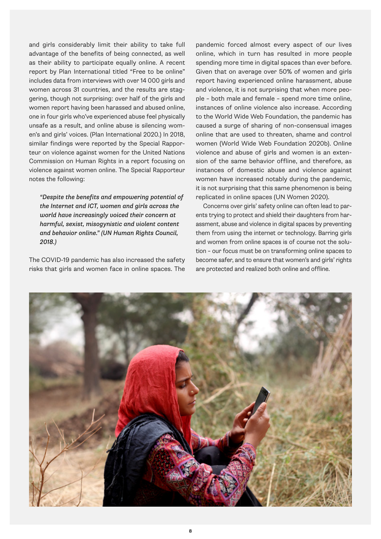and girls considerably limit their ability to take full advantage of the benefits of being connected, as well as their ability to participate equally online. A recent report by Plan International titled "Free to be online" includes data from interviews with over 14 000 girls and women across 31 countries, and the results are staggering, though not surprising: over half of the girls and women report having been harassed and abused online, one in four girls who've experienced abuse feel physically unsafe as a result, and online abuse is silencing women's and girls' voices. (Plan International 2020.) In 2018, similar findings were reported by the Special Rapporteur on violence against women for the United Nations Commission on Human Rights in a report focusing on violence against women online. The Special Rapporteur notes the following:

*"Despite the benefits and empowering potential of the Internet and ICT, women and girls across the world have increasingly voiced their concern at harmful, sexist, misogynistic and violent content and behavior online." (UN Human Rights Council, 2018.)*

The COVID-19 pandemic has also increased the safety risks that girls and women face in online spaces. The

pandemic forced almost every aspect of our lives online, which in turn has resulted in more people spending more time in digital spaces than ever before. Given that on average over 50% of women and girls report having experienced online harassment, abuse and violence, it is not surprising that when more people – both male and female – spend more time online, instances of online violence also increase. According to the World Wide Web Foundation, the pandemic has caused a surge of sharing of non-consensual images online that are used to threaten, shame and control women (World Wide Web Foundation 2020b). Online violence and abuse of girls and women is an extension of the same behavior offline, and therefore, as instances of domestic abuse and violence against women have increased notably during the pandemic, it is not surprising that this same phenomenon is being replicated in online spaces (UN Women 2020).

Concerns over girls' safety online can often lead to parents trying to protect and shield their daughters from harassment, abuse and violence in digital spaces by preventing them from using the internet or technology. Barring girls and women from online spaces is of course not the solution – our focus must be on transforming online spaces to become safer, and to ensure that women's and girls' rights are protected and realized both online and offline.

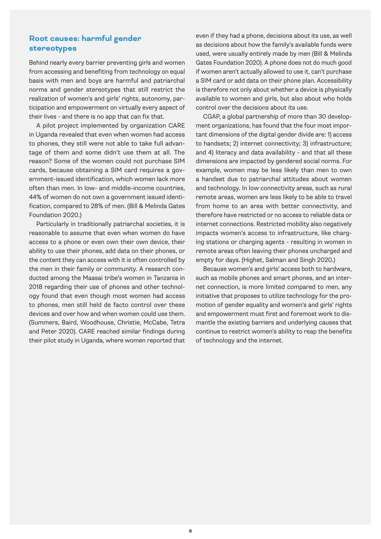#### **Root causes: harmful gender stereotypes**

Behind nearly every barrier preventing girls and women from accessing and benefiting from technology on equal basis with men and boys are harmful and patriarchal norms and gender stereotypes that still restrict the realization of women's and girls' rights, autonomy, participation and empowerment on virtually every aspect of their lives - and there is no app that can fix that.

A pilot project implemented by organization CARE in Uganda revealed that even when women had access to phones, they still were not able to take full advantage of them and some didn't use them at all. The reason? Some of the women could not purchase SIM cards, because obtaining a SIM card requires a government-issued identification, which women lack more often than men. In low- and middle-income countries, 44% of women do not own a government issued identification, compared to 28% of men. (Bill & Melinda Gates Foundation 2020.)

Particularly in traditionally patriarchal societies, it is reasonable to assume that even when women do have access to a phone or even own their own device, their ability to use their phones, add data on their phones, or the content they can access with it is often controlled by the men in their family or community. A research conducted among the Maasai tribe's women in Tanzania in 2018 regarding their use of phones and other technology found that even though most women had access to phones, men still held de facto control over these devices and over how and when women could use them. (Summers, Baird, Woodhouse, Christie, McCabe, Tetra and Peter 2020). CARE reached similar findings during their pilot study in Uganda, where women reported that even if they had a phone, decisions about its use, as well as decisions about how the family's available funds were used, were usually entirely made by men (Bill & Melinda Gates Foundation 2020). A phone does not do much good if women aren't actually allowed to use it, can't purchase a SIM card or add data on their phone plan. Accessibility is therefore not only about whether a device is physically available to women and girls, but also about who holds control over the decisions about its use.

CGAP, a global partnership of more than 30 development organizations, has found that the four most important dimensions of the digital gender divide are: 1) access to handsets; 2) internet connectivity; 3) infrastructure; and 4) literacy and data availability - and that all these dimensions are impacted by gendered social norms. For example, women may be less likely than men to own a handset due to patriarchal attitudes about women and technology. In low connectivity areas, such as rural remote areas, women are less likely to be able to travel from home to an area with better connectivity, and therefore have restricted or no access to reliable data or internet connections. Restricted mobility also negatively impacts women's access to infrastructure, like charging stations or charging agents - resulting in women in remote areas often leaving their phones uncharged and empty for days. (Highet, Salman and Singh 2020.)

Because women's and girls' access both to hardware, such as mobile phones and smart phones, and an internet connection, is more limited compared to men, any initiative that proposes to utilize technology for the promotion of gender equality and women's and girls' rights and empowerment must first and foremost work to dismantle the existing barriers and underlying causes that continue to restrict women's ability to reap the benefits of technology and the internet.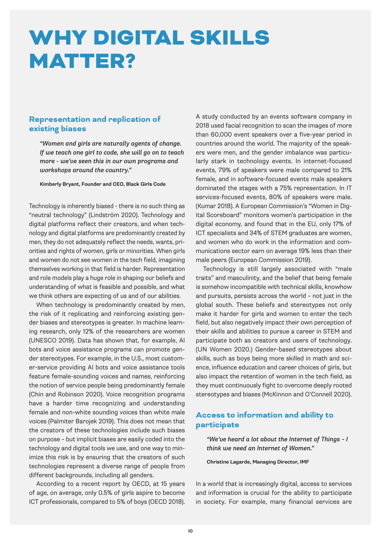### WHY DIGITAL SKILLS MATTER?

#### **Representation and replication of existing biases**

*"Women and girls are naturally agents of change. If we teach one girl to code, she will go on to teach more - we've seen this in our own programs and workshops around the country."*

Kimberly Bryant, Founder and CEO, Black Girls Code

Technology is inherently biased - there is no such thing as "neutral technology" (Lindström 2020). Technology and digital platforms reflect their creators, and when technology and digital platforms are predominantly created by men, they do not adequately reflect the needs, wants, priorities and rights of women, girls or minorities. When girls and women do not see women in the tech field, imagining themselves working in that field is harder. Representation and role models play a huge role in shaping our beliefs and understanding of what is feasible and possible, and what we think others are expecting of us and of our abilities.

When technology is predominantly created by men, the risk of it replicating and reinforcing existing gender biases and stereotypes is greater. In machine learning research, only 12% of the researchers are women (UNESCO 2019). Data has shown that, for example, AI bots and voice assistance programs can promote gender stereotypes. For example, in the U.S., most customer-service providing AI bots and voice assistance tools feature female-sounding voices and names, reinforcing the notion of service people being predominantly female (Chin and Robinson 2020). Voice recognition programs have a harder time recognizing and understanding female and non-white sounding voices than white male voices (Palmiter Barojek 2019). This does not mean that the creators of these technologies include such biases on purpose – but implicit biases are easily coded into the technology and digital tools we use, and one way to minimize this risk is by ensuring that the creators of such technologies represent a diverse range of people from different backgrounds, including all genders.

According to a recent report by OECD, at 15 years of age, on average, only 0.5% of girls aspire to become ICT professionals, compared to 5% of boys (OECD 2018). A study conducted by an events software company in 2018 used facial recognition to scan the images of more than 60,000 event speakers over a five-year period in countries around the world. The majority of the speakers were men, and the gender imbalance was particularly stark in technology events. In internet-focused events, 79% of speakers were male compared to 21% female, and in software-focused events male speakers dominated the stages with a 75% representation. In IT services-focused events, 80% of speakers were male. (Kumar 2018). A European Commission's "Women in Digital Scoreboard" monitors women's participation in the digital economy, and found that in the EU, only 17% of ICT specialists and 34% of STEM graduates are women, and women who do work in the information and communications sector earn on average 19% less than their male peers (European Commission 2019).

Technology is still largely associated with "male traits'' and masculinity, and the belief that being female is somehow incompatible with technical skills, knowhow and pursuits, persists across the world – not just in the global south. These beliefs and stereotypes not only make it harder for girls and women to enter the tech field, but also negatively impact their own perception of their skills and abilities to pursue a career in STEM and participate both as creators and users of technology. (UN Women 2020.) Gender-based stereotypes about skills, such as boys being more skilled in math and science, influence education and career choices of girls, but also impact the retention of women in the tech field, as they must continuously fight to overcome deeply rooted stereotypes and biases (McKinnon and O'Connell 2020).

#### **Access to information and ability to participate**

*"We've heard a lot about the Internet of Things – I think we need an Internet of Women."*

Christine Lagarde, Managing Director, IMF

In a world that is increasingly digital, access to services and information is crucial for the ability to participate in society. For example, many financial services are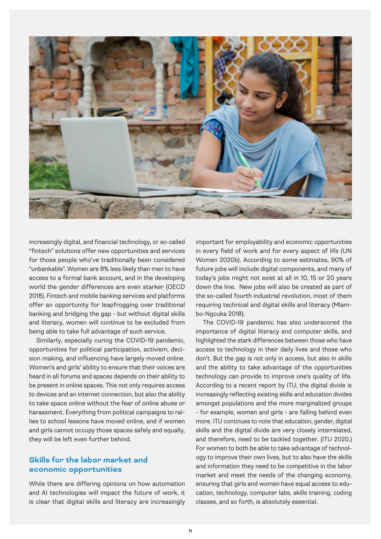

increasingly digital, and financial technology, or so-called "fintech" solutions offer new opportunities and services for those people who've traditionally been considered "unbankable". Women are 8% less likely than men to have access to a formal bank account, and in the developing world the gender differences are even starker (OECD 2018). Fintech and mobile banking services and platforms offer an opportunity for leapfrogging over traditional banking and bridging the gap - but without digital skills and literacy, women will continue to be excluded from being able to take full advantage of such service.

Similarly, especially curing the COVID-19 pandemic, opportunities for political participation, activism, decision making, and influencing have largely moved online. Women's and girls' ability to ensure that their voices are heard in all forums and spaces depends on their ability to be present in online spaces. This not only requires access to devices and an internet connection, but also the ability to take space online without the fear of online abuse or harassment. Everything from political campaigns to rallies to school lessons have moved online, and if women and girls cannot occupy those spaces safely and equally, they will be left even further behind.

#### **Skills for the labor market and economic opportunities**

While there are differing opinions on how automation and AI technologies will impact the future of work, it is clear that digital skills and literacy are increasingly important for employability and economic opportunities in every field of work and for every aspect of life (UN Women 2020b). According to some estimates, 90% of future jobs will include digital components, and many of today's jobs might not exist at all in 10, 15 or 20 years down the line. New jobs will also be created as part of the so-called fourth industrial revolution, most of them requiring technical and digital skills and literacy (Mlambo-Ngcuka 2018).

The COVID-19 pandemic has also underscored the importance of digital literacy and computer skills, and highlighted the stark differences between those who have access to technology in their daily lives and those who don't. But the gap is not only in access, but also in skills and the ability to take advantage of the opportunities technology can provide to improve one's quality of life. According to a recent report by ITU, the digital divide is increasingly reflecting existing skills and education divides amongst populations and the more marginalized groups - for example, women and girls - are falling behind even more. ITU continues to note that education, gender, digital skills and the digital divide are very closely interrelated, and therefore, need to be tackled together. (ITU 2020.) For women to both be able to take advantage of technology to improve their own lives, but to also have the skills and information they need to be competitive in the labor market and meet the needs of the changing economy, ensuring that girls and women have equal access to education, technology, computer labs, skills training, coding classes, and so forth, is absolutely essential.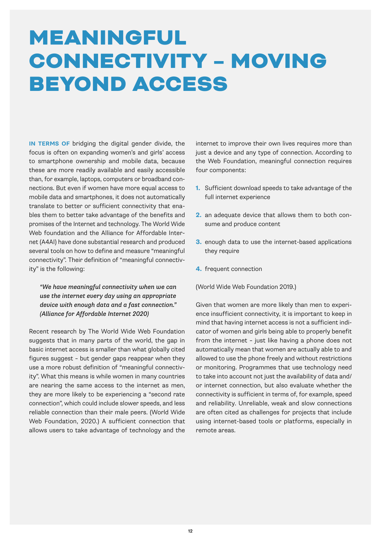# MEANINGFUL CONNECTIVITY – MOVING BEYOND ACCESS

**IN TERMS OF** bridging the digital gender divide, the focus is often on expanding women's and girls' access to smartphone ownership and mobile data, because these are more readily available and easily accessible than, for example, laptops, computers or broadband connections. But even if women have more equal access to mobile data and smartphones, it does not automatically translate to better or sufficient connectivity that enables them to better take advantage of the benefits and promises of the Internet and technology. The World Wide Web foundation and the Alliance for Affordable Internet (A4AI) have done substantial research and produced several tools on how to define and measure "meaningful connectivity". Their definition of "meaningful connectivity" is the following:

*"We have meaningful connectivity when we can use the internet every day using an appropriate device with enough data and a fast connection." (Alliance for Affordable Internet 2020)*

Recent research by The World Wide Web Foundation suggests that in many parts of the world, the gap in basic internet access is smaller than what globally cited figures suggest – but gender gaps reappear when they use a more robust definition of "meaningful connectivity". What this means is while women in many countries are nearing the same access to the internet as men, they are more likely to be experiencing a "second rate connection", which could include slower speeds, and less reliable connection than their male peers. (World Wide Web Foundation, 2020.) A sufficient connection that allows users to take advantage of technology and the

internet to improve their own lives requires more than just a device and any type of connection. According to the Web Foundation, meaningful connection requires four components:

- **1.** Sufficient download speeds to take advantage of the full internet experience
- **2.** an adequate device that allows them to both consume and produce content
- **3.** enough data to use the internet-based applications they require
- **4.** frequent connection

(World Wide Web Foundation 2019.)

Given that women are more likely than men to experience insufficient connectivity, it is important to keep in mind that having internet access is not a sufficient indicator of women and girls being able to properly benefit from the internet – just like having a phone does not automatically mean that women are actually able to and allowed to use the phone freely and without restrictions or monitoring. Programmes that use technology need to take into account not just the availability of data and/ or internet connection, but also evaluate whether the connectivity is sufficient in terms of, for example, speed and reliability. Unreliable, weak and slow connections are often cited as challenges for projects that include using internet-based tools or platforms, especially in remote areas.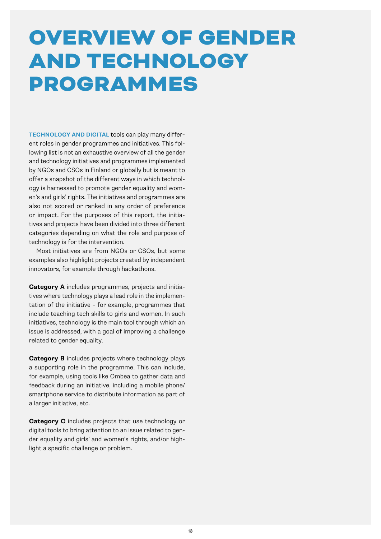# OVERVIEW OF GENDER AND TECHNOLOGY PROGRAMMES

**TECHNOLOGY AND DIGITAL** tools can play many different roles in gender programmes and initiatives. This following list is not an exhaustive overview of all the gender and technology initiatives and programmes implemented by NGOs and CSOs in Finland or globally but is meant to offer a snapshot of the different ways in which technology is harnessed to promote gender equality and women's and girls' rights. The initiatives and programmes are also not scored or ranked in any order of preference or impact. For the purposes of this report, the initiatives and projects have been divided into three different categories depending on what the role and purpose of technology is for the intervention.

Most initiatives are from NGOs or CSOs, but some examples also highlight projects created by independent innovators, for example through hackathons.

**Category A** includes programmes, projects and initiatives where technology plays a lead role in the implementation of the initiative – for example, programmes that include teaching tech skills to girls and women. In such initiatives, technology is the main tool through which an issue is addressed, with a goal of improving a challenge related to gender equality.

**Category B** includes projects where technology plays a supporting role in the programme. This can include, for example, using tools like Ombea to gather data and feedback during an initiative, including a mobile phone/ smartphone service to distribute information as part of a larger initiative, etc.

**Category C** includes projects that use technology or digital tools to bring attention to an issue related to gender equality and girls' and women's rights, and/or highlight a specific challenge or problem.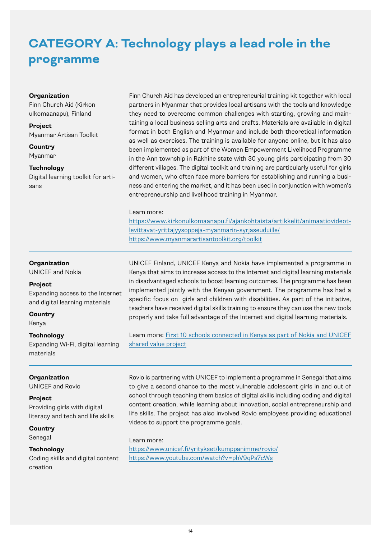### **CATEGORY A: Technology plays a lead role in the programme**

#### **Organization**

Finn Church Aid (Kirkon ulkomaanapu), Finland

#### **Project** Myanmar Artisan Toolkit

**Country** Myanmar

#### **Technology**

Digital learning toolkit for artisans

Finn Church Aid has developed an entrepreneurial training kit together with local partners in Myanmar that provides local artisans with the tools and knowledge they need to overcome common challenges with starting, growing and maintaining a local business selling arts and crafts. Materials are available in digital format in both English and Myanmar and include both theoretical information as well as exercises. The training is available for anyone online, but it has also been implemented as part of the Women Empowerment Livelihood Programme in the Ann township in Rakhine state with 30 young girls participating from 30 different villages. The digital toolkit and training are particularly useful for girls and women, who often face more barriers for establishing and running a business and entering the market, and it has been used in conjunction with women's entrepreneurship and livelihood training in Myanmar.

#### Learn more:

[https://www.kirkonulkomaanapu.fi/ajankohtaista/artikkelit/animaatiovideot](https://www.kirkonulkomaanapu.fi/ajankohtaista/artikkelit/animaatiovideot-levittavat-yrittajyysoppeja-myanmarin-syrjaseuduille/)[levittavat-yrittajyysoppeja-myanmarin-syrjaseuduille/](https://www.kirkonulkomaanapu.fi/ajankohtaista/artikkelit/animaatiovideot-levittavat-yrittajyysoppeja-myanmarin-syrjaseuduille/) <https://www.myanmarartisantoolkit.org/toolkit>

#### **Organization**

UNICEF and Nokia

#### **Project**

Expanding access to the Internet and digital learning materials

**Country**

Kenya

#### **Technology**

Expanding Wi-Fi, digital learning materials

#### **Organization**

UNICEF and Rovio

#### **Project**

Providing girls with digital literacy and tech and life skills

#### **Country**

Senegal

#### **Technology**

Coding skills and digital content creation

UNICEF Finland, UNICEF Kenya and Nokia have implemented a programme in Kenya that aims to increase access to the Internet and digital learning materials in disadvantaged schools to boost learning outcomes. The programme has been implemented jointly with the Kenyan government. The programme has had a specific focus on girls and children with disabilities. As part of the initiative, teachers have received digital skills training to ensure they can use the new tools properly and take full advantage of the Internet and digital learning materials.

Learn more: [First 10 schools connected in Kenya as part of Nokia and UNICEF](https://www.nokia.com/about-us/sustainability/first-10-schools-connected-in-kenya-as-part-of-nokia-and-unicef-shared-value-project/)  [shared value project](https://www.nokia.com/about-us/sustainability/first-10-schools-connected-in-kenya-as-part-of-nokia-and-unicef-shared-value-project/)

Rovio is partnering with UNICEF to implement a programme in Senegal that aims to give a second chance to the most vulnerable adolescent girls in and out of school through teaching them basics of digital skills including coding and digital content creation, while learning about innovation, social entrepreneurship and life skills. The project has also involved Rovio employees providing educational videos to support the programme goals.

Learn more: <https://www.unicef.fi/yritykset/kumppanimme/rovio/> <https://www.youtube.com/watch?v=phV9qPs7cWs>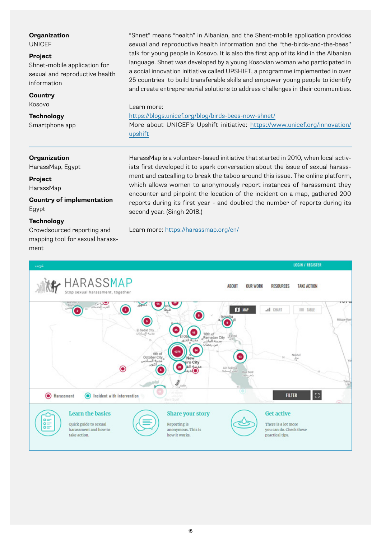UNICEF

#### **Project**

Shnet-mobile application for sexual and reproductive health information

#### **Country**

Kosovo

#### **Technology**

Smartphone app

"Shnet" means "health" in Albanian, and the Shent-mobile application provides sexual and reproductive health information and the "the-birds-and-the-bees'' talk for young people in Kosovo. It is also the first app of its kind in the Albanian language. Shnet was developed by a young Kosovian woman who participated in a social innovation initiative called UPSHIFT, a programme implemented in over 25 countries to build transferable skills and empower young people to identify and create entrepreneurial solutions to address challenges in their communities.

Learn more:

<https://blogs.unicef.org/blog/birds-bees-now-shnet/>

More about UNICEF's Upshift initiative: [https://www.unicef.org/innovation/](https://www.unicef.org/innovation/upshift) [upshift](https://www.unicef.org/innovation/upshift)

#### **Organization**

HarassMap, Egypt

**Project** HarassMap

**Country of implementation** Egypt

#### **Technology**

Crowdsourced reporting and mapping tool for sexual harassment

HarassMap is a volunteer-based initiative that started in 2010, when local activists first developed it to spark conversation about the issue of sexual harassment and catcalling to break the taboo around this issue. The online platform, which allows women to anonymously report instances of harassment they encounter and pinpoint the location of the incident on a map, gathered 200 reports during its first year - and doubled the number of reports during its second year. (Singh 2018.)

Learn more:<https://harassmap.org/en/>

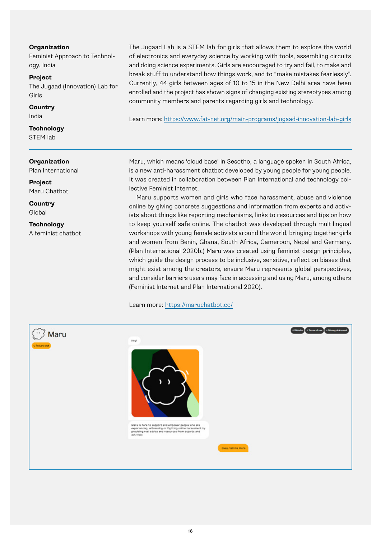Feminist Approach to Technology, India

#### **Project**

The Jugaad (Innovation) Lab for Girls

#### **Country**

India

**Technology** STEM lab

#### **Organization**

Plan International

**Project** Maru Chatbot

**Country** Global

**Technology** A feminist chatbot The Jugaad Lab is a STEM lab for girls that allows them to explore the world of electronics and everyday science by working with tools, assembling circuits and doing science experiments. Girls are encouraged to try and fail, to make and break stuff to understand how things work, and to "make mistakes fearlessly". Currently, 44 girls between ages of 10 to 15 in the New Delhi area have been enrolled and the project has shown signs of changing existing stereotypes among community members and parents regarding girls and technology.

Learn more[: https://www.fat-net.org/main-programs/jugaad-innovation-lab-girls](https://www.fat-net.org/main-programs/jugaad-innovation-lab-girls)

Maru, which means 'cloud base' in Sesotho, a language spoken in South Africa, is a new anti-harassment chatbot developed by young people for young people. It was created in collaboration between Plan International and technology collective Feminist Internet.

Maru supports women and girls who face harassment, abuse and violence online by giving concrete suggestions and information from experts and activists about things like reporting mechanisms, links to resources and tips on how to keep yourself safe online. The chatbot was developed through multilingual workshops with young female activists around the world, bringing together girls and women from Benin, Ghana, South Africa, Cameroon, Nepal and Germany. (Plan International 2020b.) Maru was created using feminist design principles, which guide the design process to be inclusive, sensitive, reflect on biases that might exist among the creators, ensure Maru represents global perspectives, and consider barriers users may face in accessing and using Maru, among others (Feminist Internet and Plan International 2020).

Learn more:<https://maruchatbot.co/>

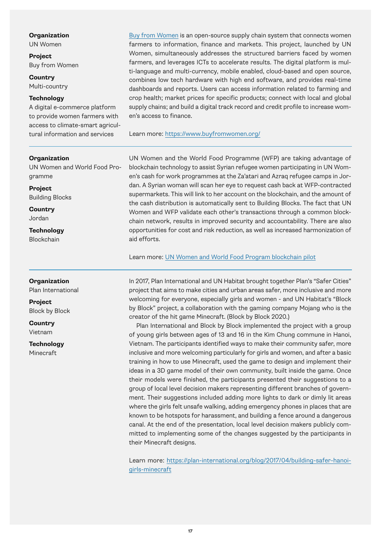UN Women

**Project** Buy from Women

**Country** Multi-country

#### **Technology**

A digital e-commerce platform to provide women farmers with access to climate-smart agricultural information and services

#### **Organization**

UN Women and World Food Programme

**Project** Building Blocks

**Country** Jordan

**Technology** Blockchain

#### **Organization**

Plan International

**Project** Block by Block

**Country** Vietnam

**Technology** Minecraft

[Buy from Women](https://www.buyfromwomen.org/) is an open-source supply chain system that connects women farmers to information, finance and markets. This project, launched by UN Women, simultaneously addresses the structured barriers faced by women farmers, and leverages ICTs to accelerate results. The digital platform is multi-language and multi-currency, mobile enabled, cloud-based and open source, combines low tech hardware with high end software, and provides real-time dashboards and reports. Users can access information related to farming and crop health; market prices for specific products; connect with local and global supply chains; and build a digital track record and credit profile to increase women's access to finance.

Learn more:<https://www.buyfromwomen.org/>

UN Women and the World Food Programme (WFP) are taking advantage of blockchain technology to assist Syrian refugee women participating in UN Women's cash for work programmes at the Za'atari and Azraq refugee camps in Jordan. A Syrian woman will scan her eye to request cash back at WFP-contracted supermarkets. This will link to her account on the blockchain, and the amount of the cash distribution is automatically sent to Building Blocks. The fact that UN Women and WFP validate each other's transactions through a common blockchain network, results in improved security and accountability. There are also opportunities for cost and risk reduction, as well as increased harmonization of aid efforts.

Learn more: [UN Women and World Food Program blockchain pilot](https://www2.unwomen.org/-/media/field office jordan/images/publications/2021/blockchain pilot project/un women-wfp blockchain pilot project for cash transfers in refugee camps jordan case study.pdf?la=en&vs=1403)

In 2017, Plan International and UN Habitat brought together Plan's "Safer Cities" project that aims to make cities and urban areas safer, more inclusive and more welcoming for everyone, especially girls and women - and UN Habitat's "Block by Block" project, a collaboration with the gaming company Mojang who is the creator of the hit game Minecraft. (Block by Block 2020.)

Plan International and Block by Block implemented the project with a group of young girls between ages of 13 and 16 in the Kim Chung commune in Hanoi, Vietnam. The participants identified ways to make their community safer, more inclusive and more welcoming particularly for girls and women, and after a basic training in how to use Minecraft, used the game to design and implement their ideas in a 3D game model of their own community, built inside the game. Once their models were finished, the participants presented their suggestions to a group of local level decision makers representing different branches of government. Their suggestions included adding more lights to dark or dimly lit areas where the girls felt unsafe walking, adding emergency phones in places that are known to be hotspots for harassment, and building a fence around a dangerous canal. At the end of the presentation, local level decision makers publicly committed to implementing some of the changes suggested by the participants in their Minecraft designs.

Learn more: [https://plan-international.org/blog/2017/04/building-safer-hanoi](https://plan-international.org/blog/2017/04/building-safer-hanoi-girls-minecraft)[girls-minecraft](https://plan-international.org/blog/2017/04/building-safer-hanoi-girls-minecraft)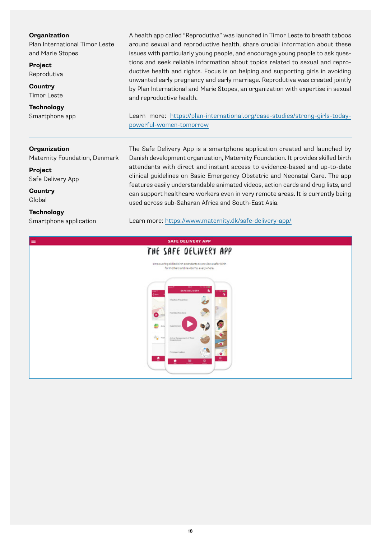Plan International Timor Leste and Marie Stopes

**Project** Reprodutiva

**Country** Timor Leste

**Technology** Smartphone app A health app called "Reprodutiva" was launched in Timor Leste to breath taboos around sexual and reproductive health, share crucial information about these issues with particularly young people, and encourage young people to ask questions and seek reliable information about topics related to sexual and reproductive health and rights. Focus is on helping and supporting girls in avoiding unwanted early pregnancy and early marriage. Reprodutiva was created jointly by Plan International and Marie Stopes, an organization with expertise in sexual and reproductive health.

Learn more: [https://plan-international.org/case-studies/strong-girls-today](https://plan-international.org/case-studies/strong-girls-today-powerful-women-tomorrow)[powerful-women-tomorrow](https://plan-international.org/case-studies/strong-girls-today-powerful-women-tomorrow)

#### **Organization**

Maternity Foundation, Denmark

**Project** Safe Delivery App

**Country** Global

#### **Technology**

Smartphone application

The Safe Delivery App is a smartphone application created and launched by Danish development organization, Maternity Foundation. It provides skilled birth attendants with direct and instant access to evidence-based and up-to-date clinical guidelines on Basic Emergency Obstetric and Neonatal Care. The app features easily understandable animated videos, action cards and drug lists, and can support healthcare workers even in very remote areas. It is currently being used across sub-Saharan Africa and South-East Asia.

Learn more:<https://www.maternity.dk/safe-delivery-app/>

# $=$ SAFE DELIVERY APP THE SAFE DELIVERY APP .<br>Ing skilled birth attendants to provide a safer birth<br>for mothers and newborns, everywhere.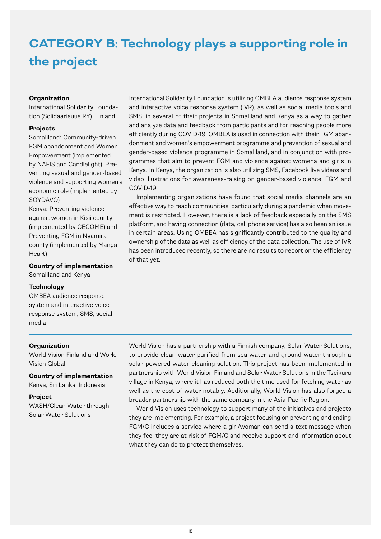### **CATEGORY B: Technology plays a supporting role in the project**

#### **Organization**

International Solidarity Foundation (Solidaarisuus RY), Finland

#### **Projects**

Somaliland: Community-driven FGM abandonment and Women Empowerment (implemented by NAFIS and Candlelight), Preventing sexual and gender-based violence and supporting women's economic role (implemented by SOYDAVO)

Kenya: Preventing violence against women in Kisii county (implemented by CECOME) and Preventing FGM in Nyamira county (implemented by Manga Heart)

**Country of implementation**

Somaliland and Kenya

#### **Technology**

OMBEA audience response system and interactive voice response system, SMS, social media

International Solidarity Foundation is utilizing OMBEA audience response system and interactive voice response system (IVR), as well as social media tools and SMS, in several of their projects in Somaliland and Kenya as a way to gather and analyze data and feedback from participants and for reaching people more efficiently during COVID-19. OMBEA is used in connection with their FGM abandonment and women's empowerment programme and prevention of sexual and gender-based violence programme in Somaliland, and in conjunction with programmes that aim to prevent FGM and violence against womena and girls in Kenya. In Kenya, the organization is also utilizing SMS, Facebook live videos and video illustrations for awareness-raising on gender-based violence, FGM and COVID-19.

Implementing organizations have found that social media channels are an effective way to reach communities, particularly during a pandemic when movement is restricted. However, there is a lack of feedback especially on the SMS platform, and having connection (data, cell phone service) has also been an issue in certain areas. Using OMBEA has significantly contributed to the quality and ownership of the data as well as efficiency of the data collection. The use of IVR has been introduced recently, so there are no results to report on the efficiency of that yet.

#### **Organization**

World Vision Finland and World Vision Global

**Country of implementation** Kenya, Sri Lanka, Indonesia

#### **Project**

WASH/Clean Water through Solar Water Solutions

World Vision has a partnership with a Finnish company, Solar Water Solutions, to provide clean water purified from sea water and ground water through a solar-powered water cleaning solution. This project has been implemented in partnership with World Vision Finland and Solar Water Solutions in the Tseikuru village in Kenya, where it has reduced both the time used for fetching water as well as the cost of water notably. Additionally, World Vision has also forged a broader partnership with the same company in the Asia-Pacific Region.

World Vision uses technology to support many of the initiatives and projects they are implementing. For example, a project focusing on preventing and ending FGM/C includes a service where a girl/woman can send a text message when they feel they are at risk of FGM/C and receive support and information about what they can do to protect themselves.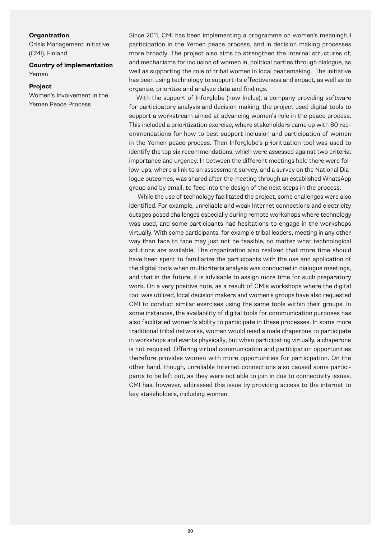Crisis Management Initiative (CMI), Finland

#### **Country of implementation** Yemen

#### **Project**

Women's Involvement in the Yemen Peace Process

Since 2011, CMI has been implementing a programme on women's meaningful participation in the Yemen peace process, and in decision making processes more broadly. The project also aims to strengthen the internal structures of, and mechanisms for inclusion of women in, political parties through dialogue, as well as supporting the role of tribal women in local peacemaking. The initiative has been using technology to support its effectiveness and impact, as well as to organize, prioritize and analyze data and findings.

With the support of Inforglobe (now Inclus), a company providing software for participatory analysis and decision making, the project used digital tools to support a workstream aimed at advancing women's role in the peace process. This included a prioritization exercise, where stakeholders came up with 60 recommendations for how to best support inclusion and participation of women in the Yemen peace process. Then Inforglobe's prioritization tool was used to identify the top six recommendations, which were assessed against two criteria: importance and urgency. In between the different meetings held there were follow-ups, where a link to an assessment survey, and a survey on the National Dialogue outcomes, was shared after the meeting through an established WhatsApp group and by email, to feed into the design of the next steps in the process.

While the use of technology facilitated the project, some challenges were also identified. For example, unreliable and weak Internet connections and electricity outages posed challenges especially during remote workshops where technology was used, and some participants had hesitations to engage in the workshops virtually. With some participants, for example tribal leaders, meeting in any other way than face to face may just not be feasible, no matter what technological solutions are available. The organization also realized that more time should have been spent to familiarize the participants with the use and application of the digital tools when multicriteria analysis was conducted in dialogue meetings, and that in the future, it is advisable to assign more time for such preparatory work. On a very positive note, as a result of CMIs workshops where the digital tool was utilized, local decision makers and women's groups have also requested CMI to conduct similar exercises using the same tools within their groups. In some instances, the availability of digital tools for communication purposes has also facilitated women's ability to participate in these processes. In some more traditional tribal networks, women would need a male chaperone to participate in workshops and events physically, but when participating virtually, a chaperone is not required. Offering virtual communication and participation opportunities therefore provides women with more opportunities for participation. On the other hand, though, unreliable Internet connections also caused some participants to be left out, as they were not able to join in due to connectivity issues. CMI has, however, addressed this issue by providing access to the internet to key stakeholders, including women.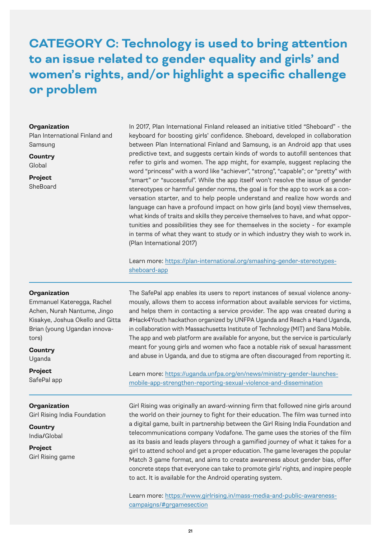### **CATEGORY C: Technology is used to bring attention to an issue related to gender equality and girls' and women's rights, and/or highlight a specific challenge or problem**

#### **Organization**

Plan International Finland and Samsung

**Country** Global

**Project** SheBoard

In 2017, Plan International Finland released an initiative titled "Sheboard" - the keyboard for boosting girls' confidence. Sheboard, developed in collaboration between Plan International Finland and Samsung, is an Android app that uses predictive text, and suggests certain kinds of words to autofill sentences that refer to girls and women. The app might, for example, suggest replacing the word "princess" with a word like "achiever", "strong", "capable"; or "pretty" with "smart" or "successful". While the app itself won't resolve the issue of gender stereotypes or harmful gender norms, the goal is for the app to work as a conversation starter, and to help people understand and realize how words and language can have a profound impact on how girls (and boys) view themselves, what kinds of traits and skills they perceive themselves to have, and what opportunities and possibilities they see for themselves in the society - for example in terms of what they want to study or in which industry they wish to work in. (Plan International 2017)

Learn more: [https://plan-international.org/smashing-gender-stereotypes](https://plan-international.org/smashing-gender-stereotypes-sheboard-app)[sheboard-app](https://plan-international.org/smashing-gender-stereotypes-sheboard-app)

#### **Organization**

Emmanuel Kateregga, Rachel Achen, Nurah Nantume, Jingo Kisakye, Joshua Okello and Gitta Brian (young Ugandan innovators)

**Country** Uganda

**Project** SafePal app

#### **Organization**

Girl Rising India Foundation

**Country** India**/**Global

**Project** Girl Rising game

The SafePal app enables its users to report instances of sexual violence anonymously, allows them to access information about available services for victims, and helps them in contacting a service provider. The app was created during a #Hack4Youth hackathon organized by UNFPA Uganda and Reach a Hand Uganda, in collaboration with Massachusetts Institute of Technology (MIT) and Sana Mobile. The app and web platform are available for anyone, but the service is particularly meant for young girls and women who face a notable risk of sexual harassment and abuse in Uganda, and due to stigma are often discouraged from reporting it.

Learn more: [https://uganda.unfpa.org/en/news/ministry-gender-launches](https://uganda.unfpa.org/en/news/ministry-gender-launches-mobile-app-strengthen-reporting-sexual-violence-and-dissemination)[mobile-app-strengthen-reporting-sexual-violence-and-dissemination](https://uganda.unfpa.org/en/news/ministry-gender-launches-mobile-app-strengthen-reporting-sexual-violence-and-dissemination)

Girl Rising was originally an award-winning firm that followed nine girls around the world on their journey to fight for their education. The film was turned into a digital game, built in partnership between the Girl Rising India Foundation and telecommunications company Vodafone. The game uses the stories of the film as its basis and leads players through a gamified journey of what it takes for a girl to attend school and get a proper education. The game leverages the popular Match 3 game format, and aims to create awareness about gender bias, offer concrete steps that everyone can take to promote girls' rights, and inspire people to act. It is available for the Android operating system.

Learn more: https://www.girlrising.in/mass-media-and-public-awarenesscampaigns/#grgamesection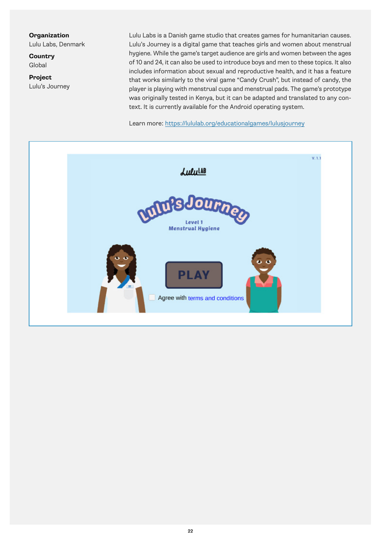Lulu Labs, Denmark

**Country** Global

**Project** Lulu's Journey

Lulu Labs is a Danish game studio that creates games for humanitarian causes. Lulu's Journey is a digital game that teaches girls and women about menstrual hygiene. While the game's target audience are girls and women between the ages of 10 and 24, it can also be used to introduce boys and men to these topics. It also includes information about sexual and reproductive health, and it has a feature that works similarly to the viral game "Candy Crush", but instead of candy, the player is playing with menstrual cups and menstrual pads. The game's prototype was originally tested in Kenya, but it can be adapted and translated to any context. It is currently available for the Android operating system.

Learn more:<https://lululab.org/educationalgames/lulusjourney>

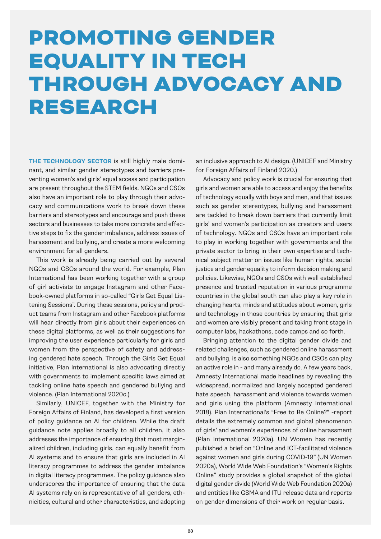# PROMOTING GENDER EQUALITY IN TECH THROUGH ADVOCACY AND RESEARCH

**THE TECHNOLOGY SECTOR** is still highly male dominant, and similar gender stereotypes and barriers preventing women's and girls' equal access and participation are present throughout the STEM fields. NGOs and CSOs also have an important role to play through their advocacy and communications work to break down these barriers and stereotypes and encourage and push these sectors and businesses to take more concrete and effective steps to fix the gender imbalance, address issues of harassment and bullying, and create a more welcoming environment for all genders.

This work is already being carried out by several NGOs and CSOs around the world. For example, Plan International has been working together with a group of girl activists to engage Instagram and other Facebook-owned platforms in so-called "Girls Get Equal Listening Sessions". During these sessions, policy and product teams from Instagram and other Facebook platforms will hear directly from girls about their experiences on these digital platforms, as well as their suggestions for improving the user experience particularly for girls and women from the perspective of safety and addressing gendered hate speech. Through the Girls Get Equal initiative, Plan International is also advocating directly with governments to implement specific laws aimed at tackling online hate speech and gendered bullying and violence. (Plan International 2020c.)

Similarly, UNICEF, together with the Ministry for Foreign Affairs of Finland, has developed a first version of policy guidance on AI for children. While the draft guidance note applies broadly to all children, it also addresses the importance of ensuring that most marginalized children, including girls, can equally benefit from AI systems and to ensure that girls are included in AI literacy programmes to address the gender imbalance in digital literacy programmes. The policy guidance also underscores the importance of ensuring that the data AI systems rely on is representative of all genders, ethnicities, cultural and other characteristics, and adopting an inclusive approach to AI design. (UNICEF and Ministry for Foreign Affairs of Finland 2020.)

Advocacy and policy work is crucial for ensuring that girls and women are able to access and enjoy the benefits of technology equally with boys and men, and that issues such as gender stereotypes, bullying and harassment are tackled to break down barriers that currently limit girls' and women's participation as creators and users of technology. NGOs and CSOs have an important role to play in working together with governments and the private sector to bring in their own expertise and technical subject matter on issues like human rights, social justice and gender equality to inform decision making and policies. Likewise, NGOs and CSOs with well established presence and trusted reputation in various programme countries in the global south can also play a key role in changing hearts, minds and attitudes about women, girls and technology in those countries by ensuring that girls and women are visibly present and taking front stage in computer labs, hackathons, code camps and so forth.

Bringing attention to the digital gender divide and related challenges, such as gendered online harassment and bullying, is also something NGOs and CSOs can play an active role in - and many already do. A few years back, Amnesty International made headlines by revealing the widespread, normalized and largely accepted gendered hate speech, harassment and violence towards women and girls using the platform (Amnesty International 2018). Plan International's "Free to Be Online?" -report details the extremely common and global phenomenon of girls' and women's experiences of online harassment (Plan International 2020a). UN Women has recently published a brief on "Online and ICT-facilitated violence against women and girls during COVID-19" (UN Women 2020a), World Wide Web Foundation's "Women's Rights Online" study provides a global snapshot of the global digital gender divide (World Wide Web Foundation 2020a) and entities like GSMA and ITU release data and reports on gender dimensions of their work on regular basis.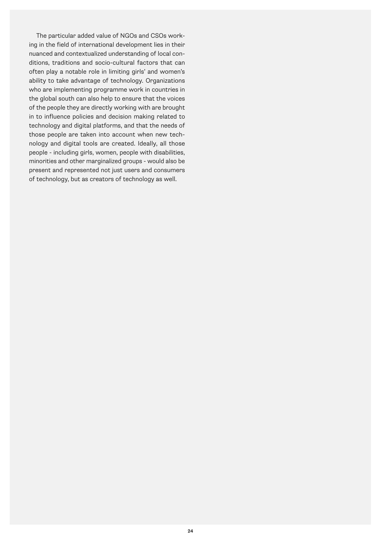The particular added value of NGOs and CSOs working in the field of international development lies in their nuanced and contextualized understanding of local conditions, traditions and socio-cultural factors that can often play a notable role in limiting girls' and women's ability to take advantage of technology. Organizations who are implementing programme work in countries in the global south can also help to ensure that the voices of the people they are directly working with are brought in to influence policies and decision making related to technology and digital platforms, and that the needs of those people are taken into account when new technology and digital tools are created. Ideally, all those people - including girls, women, people with disabilities, minorities and other marginalized groups - would also be present and represented not just users and consumers of technology, but as creators of technology as well.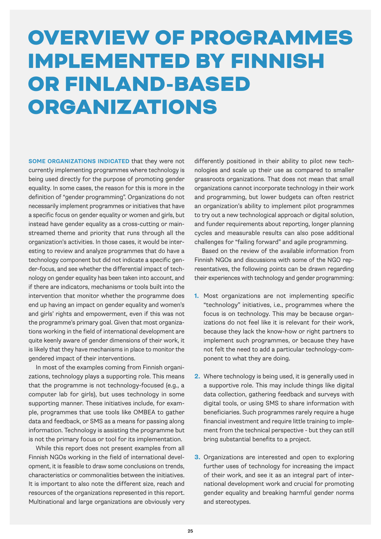# OVERVIEW OF PROGRAMMES IMPLEMENTED BY FINNISH OR FINLAND-BASED ORGANIZATIONS

**SOME ORGANIZATIONS INDICATED** that they were not currently implementing programmes where technology is being used directly for the purpose of promoting gender equality. In some cases, the reason for this is more in the definition of "gender programming". Organizations do not necessarily implement programmes or initiatives that have a specific focus on gender equality or women and girls, but instead have gender equality as a cross-cutting or mainstreamed theme and priority that runs through all the organization's activities. In those cases, it would be interesting to review and analyze programmes that do have a technology component but did not indicate a specific gender-focus, and see whether the differential impact of technology on gender equality has been taken into account, and if there are indicators, mechanisms or tools built into the intervention that monitor whether the programme does end up having an impact on gender equality and women's and girls' rights and empowerment, even if this was not the programme's primary goal. Given that most organizations working in the field of international development are quite keenly aware of gender dimensions of their work, it is likely that they have mechanisms in place to monitor the gendered impact of their interventions.

In most of the examples coming from Finnish organizations, technology plays a supporting role. This means that the programme is not technology-focused (e.g., a computer lab for girls), but uses technology in some supporting manner. These initiatives include, for example, programmes that use tools like OMBEA to gather data and feedback, or SMS as a means for passing along information. Technology is assisting the programme but is not the primary focus or tool for its implementation.

While this report does not present examples from all Finnish NGOs working in the field of international development, it is feasible to draw some conclusions on trends, characteristics or commonalities between the initiatives. It is important to also note the different size, reach and resources of the organizations represented in this report. Multinational and large organizations are obviously very differently positioned in their ability to pilot new technologies and scale up their use as compared to smaller grassroots organizations. That does not mean that small organizations cannot incorporate technology in their work and programming, but lower budgets can often restrict an organization's ability to implement pilot programmes to try out a new technological approach or digital solution, and funder requirements about reporting, longer planning cycles and measurable results can also pose additional challenges for "failing forward" and agile programming.

Based on the review of the available information from Finnish NGOs and discussions with some of the NGO representatives, the following points can be drawn regarding their experiences with technology and gender programming:

- **1.** Most organizations are not implementing specific "technology" initiatives, i.e., programmes where the focus is on technology. This may be because organizations do not feel like it is relevant for their work, because they lack the know-how or right partners to implement such programmes, or because they have not felt the need to add a particular technology-component to what they are doing.
- **2.** Where technology is being used, it is generally used in a supportive role. This may include things like digital data collection, gathering feedback and surveys with digital tools, or using SMS to share information with beneficiaries. Such programmes rarely require a huge financial investment and require little training to implement from the technical perspective - but they can still bring substantial benefits to a project.
- **3.** Organizations are interested and open to exploring further uses of technology for increasing the impact of their work, and see it as an integral part of international development work and crucial for promoting gender equality and breaking harmful gender norms and stereotypes.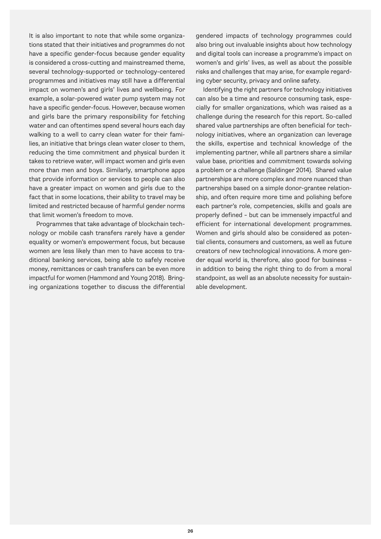It is also important to note that while some organizations stated that their initiatives and programmes do not have a specific gender-focus because gender equality is considered a cross-cutting and mainstreamed theme, several technology-supported or technology-centered programmes and initiatives may still have a differential impact on women's and girls' lives and wellbeing. For example, a solar-powered water pump system may not have a specific gender-focus. However, because women and girls bare the primary responsibility for fetching water and can oftentimes spend several hours each day walking to a well to carry clean water for their families, an initiative that brings clean water closer to them, reducing the time commitment and physical burden it takes to retrieve water, will impact women and girls even more than men and boys. Similarly, smartphone apps that provide information or services to people can also have a greater impact on women and girls due to the fact that in some locations, their ability to travel may be limited and restricted because of harmful gender norms that limit women's freedom to move.

Programmes that take advantage of blockchain technology or mobile cash transfers rarely have a gender equality or women's empowerment focus, but because women are less likely than men to have access to traditional banking services, being able to safely receive money, remittances or cash transfers can be even more impactful for women (Hammond and Young 2018). Bringing organizations together to discuss the differential gendered impacts of technology programmes could also bring out invaluable insights about how technology and digital tools can increase a programme's impact on women's and girls' lives, as well as about the possible risks and challenges that may arise, for example regarding cyber security, privacy and online safety.

Identifying the right partners for technology initiatives can also be a time and resource consuming task, especially for smaller organizations, which was raised as a challenge during the research for this report. So-called shared value partnerships are often beneficial for technology initiatives, where an organization can leverage the skills, expertise and technical knowledge of the implementing partner, while all partners share a similar value base, priorities and commitment towards solving a problem or a challenge (Saldinger 2014). Shared value partnerships are more complex and more nuanced than partnerships based on a simple donor-grantee relationship, and often require more time and polishing before each partner's role, competencies, skills and goals are properly defined – but can be immensely impactful and efficient for international development programmes. Women and girls should also be considered as potential clients, consumers and customers, as well as future creators of new technological innovations. A more gender equal world is, therefore, also good for business – in addition to being the right thing to do from a moral standpoint, as well as an absolute necessity for sustainable development.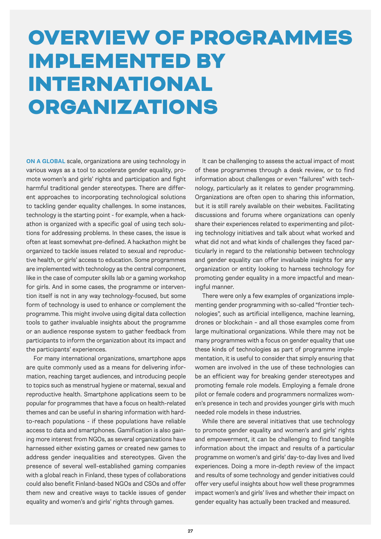### OVERVIEW OF PROGRAMMES IMPLEMENTED BY INTERNATIONAL ORGANIZATIONS

**ON A GLOBAL** scale, organizations are using technology in various ways as a tool to accelerate gender equality, promote women's and girls' rights and participation and fight harmful traditional gender stereotypes. There are different approaches to incorporating technological solutions to tackling gender equality challenges. In some instances, technology is the starting point - for example, when a hackathon is organized with a specific goal of using tech solutions for addressing problems. In these cases, the issue is often at least somewhat pre-defined. A hackathon might be organized to tackle issues related to sexual and reproductive health, or girls' access to education. Some programmes are implemented with technology as the central component, like in the case of computer skills lab or a gaming workshop for girls. And in some cases, the programme or intervention itself is not in any way technology-focused, but some form of technology is used to enhance or complement the programme. This might involve using digital data collection tools to gather invaluable insights about the programme or an audience response system to gather feedback from participants to inform the organization about its impact and the participants' experiences.

For many international organizations, smartphone apps are quite commonly used as a means for delivering information, reaching target audiences, and introducing people to topics such as menstrual hygiene or maternal, sexual and reproductive health. Smartphone applications seem to be popular for programmes that have a focus on health-related themes and can be useful in sharing information with hardto-reach populations - if these populations have reliable access to data and smartphones. Gamification is also gaining more interest from NGOs, as several organizations have harnessed either existing games or created new games to address gender inequalities and stereotypes. Given the presence of several well-established gaming companies with a global reach in Finland, these types of collaborations could also benefit Finland-based NGOs and CSOs and offer them new and creative ways to tackle issues of gender equality and women's and girls' rights through games.

It can be challenging to assess the actual impact of most of these programmes through a desk review, or to find information about challenges or even "failures" with technology, particularly as it relates to gender programming. Organizations are often open to sharing this information, but it is still rarely available on their websites. Facilitating discussions and forums where organizations can openly share their experiences related to experimenting and piloting technology initiatives and talk about what worked and what did not and what kinds of challenges they faced particularly in regard to the relationship between technology and gender equality can offer invaluable insights for any organization or entity looking to harness technology for promoting gender equality in a more impactful and meaningful manner.

There were only a few examples of organizations implementing gender programming with so-called "frontier technologies", such as artificial intelligence, machine learning, drones or blockchain – and all those examples come from large multinational organizations. While there may not be many programmes with a focus on gender equality that use these kinds of technologies as part of programme implementation, it is useful to consider that simply ensuring that women are involved in the use of these technologies can be an efficient way for breaking gender stereotypes and promoting female role models. Employing a female drone pilot or female coders and programmers normalizes women's presence in tech and provides younger girls with much needed role models in these industries.

While there are several initiatives that use technology to promote gender equality and women's and girls' rights and empowerment, it can be challenging to find tangible information about the impact and results of a particular programme on women's and girls' day-to-day lives and lived experiences. Doing a more in-depth review of the impact and results of some technology and gender initiatives could offer very useful insights about how well these programmes impact women's and girls' lives and whether their impact on gender equality has actually been tracked and measured.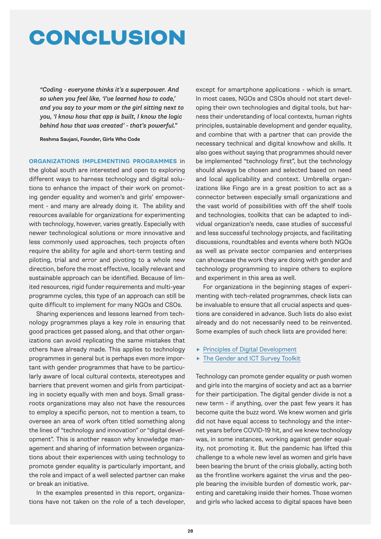### CONCLUSION

*"Coding - everyone thinks it's a superpower. And so when you feel like, 'I've learned how to code,' and you say to your mom or the girl sitting next to you, 'I know how that app is built, I know the logic behind how that was created' - that's powerful."*

Reshma Saujani, Founder, Girls Who Code

**ORGANIZATIONS IMPLEMENTING PROGRAMMES** in

the global south are interested and open to exploring different ways to harness technology and digital solutions to enhance the impact of their work on promoting gender equality and women's and girls' empowerment - and many are already doing it. The ability and resources available for organizations for experimenting with technology, however, varies greatly. Especially with newer technological solutions or more innovative and less commonly used approaches, tech projects often require the ability for agile and short-term testing and piloting, trial and error and pivoting to a whole new direction, before the most effective, locally relevant and sustainable approach can be identified. Because of limited resources, rigid funder requirements and multi-year programme cycles, this type of an approach can still be quite difficult to implement for many NGOs and CSOs.

Sharing experiences and lessons learned from technology programmes plays a key role in ensuring that good practices get passed along, and that other organizations can avoid replicating the same mistakes that others have already made. This applies to technology programmes in general but is perhaps even more important with gender programmes that have to be particularly aware of local cultural contexts, stereotypes and barriers that prevent women and girls from participating in society equally with men and boys. Small grassroots organizations may also not have the resources to employ a specific person, not to mention a team, to oversee an area of work often titled something along the lines of "technology and innovation" or "digital development". This is another reason why knowledge management and sharing of information between organizations about their experiences with using technology to promote gender equality is particularly important, and the role and impact of a well selected partner can make or break an initiative.

In the examples presented in this report, organizations have not taken on the role of a tech developer,

except for smartphone applications - which is smart. In most cases, NGOs and CSOs should not start developing their own technologies and digital tools, but harness their understanding of local contexts, human rights principles, sustainable development and gender equality, and combine that with a partner that can provide the necessary technical and digital knowhow and skills. It also goes without saying that programmes should never be implemented "technology first", but the technology should always be chosen and selected based on need and local applicability and context. Umbrella organizations like Fingo are in a great position to act as a connector between especially small organizations and the vast world of possibilities with off the shelf tools and technologies, toolkits that can be adapted to individual organization's needs, case studies of successful and less successful technology projects, and facilitating discussions, roundtables and events where both NGOs as well as private sector companies and enterprises can showcase the work they are doing with gender and technology programming to inspire others to explore and experiment in this area as well.

For organizations in the beginning stages of experimenting with tech-related programmes, check lists can be invaluable to ensure that all crucial aspects and questions are considered in advance. Such lists do also exist already and do not necessarily need to be reinvented. Some examples of such check lists are provided here:

- **[Principles of Digital Development](https://digitalprinciples.org/)**
- ▶ [The Gender and ICT Survey Toolkit](https://digitalprinciples.org/resource/gender-and-information-communication-technology-ict-survey-toolkit/)

Technology can promote gender equality or push women and girls into the margins of society and act as a barrier for their participation. The digital gender divide is not a new term - if anything, over the past few years it has become quite the buzz word. We knew women and girls did not have equal access to technology and the internet years before COVID-19 hit, and we knew technology was, in some instances, working against gender equality, not promoting it. But the pandemic has lifted this challenge to a whole new level as women and girls have been bearing the brunt of the crisis globally, acting both as the frontline workers against the virus and the people bearing the invisible burden of domestic work, parenting and caretaking inside their homes. Those women and girls who lacked access to digital spaces have been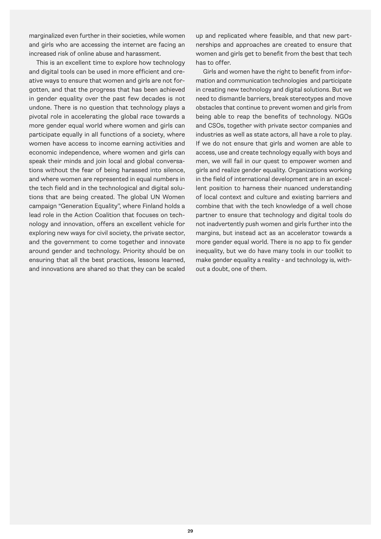marginalized even further in their societies, while women and girls who are accessing the internet are facing an increased risk of online abuse and harassment.

This is an excellent time to explore how technology and digital tools can be used in more efficient and creative ways to ensure that women and girls are not forgotten, and that the progress that has been achieved in gender equality over the past few decades is not undone. There is no question that technology plays a pivotal role in accelerating the global race towards a more gender equal world where women and girls can participate equally in all functions of a society, where women have access to income earning activities and economic independence, where women and girls can speak their minds and join local and global conversations without the fear of being harassed into silence, and where women are represented in equal numbers in the tech field and in the technological and digital solutions that are being created. The global UN Women campaign "Generation Equality'', where Finland holds a lead role in the Action Coalition that focuses on technology and innovation, offers an excellent vehicle for exploring new ways for civil society, the private sector, and the government to come together and innovate around gender and technology. Priority should be on ensuring that all the best practices, lessons learned, and innovations are shared so that they can be scaled

up and replicated where feasible, and that new partnerships and approaches are created to ensure that women and girls get to benefit from the best that tech has to offer.

Girls and women have the right to benefit from information and communication technologies and participate in creating new technology and digital solutions. But we need to dismantle barriers, break stereotypes and move obstacles that continue to prevent women and girls from being able to reap the benefits of technology. NGOs and CSOs, together with private sector companies and industries as well as state actors, all have a role to play. If we do not ensure that girls and women are able to access, use and create technology equally with boys and men, we will fail in our quest to empower women and girls and realize gender equality. Organizations working in the field of international development are in an excellent position to harness their nuanced understanding of local context and culture and existing barriers and combine that with the tech knowledge of a well chose partner to ensure that technology and digital tools do not inadvertently push women and girls further into the margins, but instead act as an accelerator towards a more gender equal world. There is no app to fix gender inequality, but we do have many tools in our toolkit to make gender equality a reality - and technology is, without a doubt, one of them.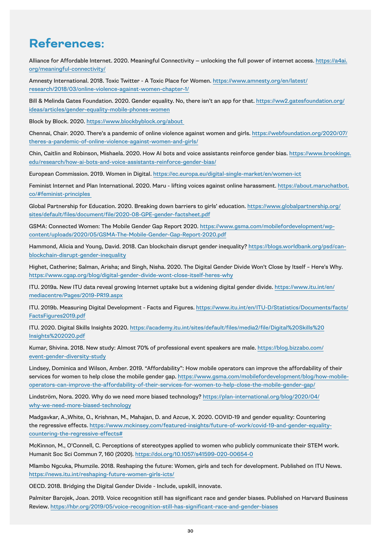### **References:**

Alliance for Affordable Internet. 2020. Meaningful Connectivity — unlocking the full power of internet access[. https://a4ai.](https://a4ai.org/meaningful-connectivity/) [org/meaningful-connectivity/](https://a4ai.org/meaningful-connectivity/)

Amnesty International. 2018. Toxic Twitter - A Toxic Place for Women. [https://www.amnesty.org/en/latest/](https://www.amnesty.org/en/latest/research/2018/03/online-violence-against-women-chapter-1/) [research/2018/03/online-violence-against-women-chapter-1/](https://www.amnesty.org/en/latest/research/2018/03/online-violence-against-women-chapter-1/)

Bill & Melinda Gates Foundation. 2020. Gender equality. No, there isn't an app for that. [https://ww2.gatesfoundation.org/](https://ww2.gatesfoundation.org/ideas/articles/gender-equality-mobile-phones-women) [ideas/articles/gender-equality-mobile-phones-women](https://ww2.gatesfoundation.org/ideas/articles/gender-equality-mobile-phones-women)

Block by Block. 2020[. https://www.blockbyblock.org/about](https://www.blockbyblock.org/about) 

Chennai, Chair. 2020. There's a pandemic of online violence against women and girls. [https://webfoundation.org/2020/07/](https://webfoundation.org/2020/07/theres-a-pandemic-of-online-violence-against-women-and-girls/) [theres-a-pandemic-of-online-violence-against-women-and-girls/](https://webfoundation.org/2020/07/theres-a-pandemic-of-online-violence-against-women-and-girls/)

Chin, Caitlin and Robinson, Mishaela. 2020. How AI bots and voice assistants reinforce gender bias. [https://www.brookings.](https://www.brookings.edu/research/how-ai-bots-and-voice-assistants-reinforce-gender-bias/) [edu/research/how-ai-bots-and-voice-assistants-reinforce-gender-bias/](https://www.brookings.edu/research/how-ai-bots-and-voice-assistants-reinforce-gender-bias/)

European Commission. 2019. Women in Digital[. https://ec.europa.eu/digital-single-market/en/women-ict](https://ec.europa.eu/digital-single-market/en/women-ict)

Feminist Internet and Plan International. 2020. Maru - lifting voices against online harassment. [https://about.maruchatbot.](https://about.maruchatbot.co/#feminist-principles) [co/#feminist-principles](https://about.maruchatbot.co/#feminist-principles) 

Global Partnership for Education. 2020. Breaking down barriers to girls' education[. https://www.globalpartnership.org/](https://www.globalpartnership.org/sites/default/files/document/file/2020-08-GPE-gender-factsheet.pdf) [sites/default/files/document/file/2020-08-GPE-gender-factsheet.pdf](https://www.globalpartnership.org/sites/default/files/document/file/2020-08-GPE-gender-factsheet.pdf)

GSMA: Connected Women: The Mobile Gender Gap Report 2020[. https://www.gsma.com/mobilefordevelopment/wp](https://www.gsma.com/mobilefordevelopment/wp-content/uploads/2020/05/GSMA-The-Mobile-Gender-Gap-Report-2020.pdf)[content/uploads/2020/05/GSMA-The-Mobile-Gender-Gap-Report-2020.pdf](https://www.gsma.com/mobilefordevelopment/wp-content/uploads/2020/05/GSMA-The-Mobile-Gender-Gap-Report-2020.pdf)

Hammond, Alicia and Young, David. 2018. Can blockchain disrupt gender inequality? [https://blogs.worldbank.org/psd/can](https://blogs.worldbank.org/psd/can-blockchain-disrupt-gender-inequality)[blockchain-disrupt-gender-inequality](https://blogs.worldbank.org/psd/can-blockchain-disrupt-gender-inequality)

Highet, Catherine; Salman, Arisha; and Singh, Nisha. 2020. The Digital Gender Divide Won't Close by Itself – Here's Why. <https://www.cgap.org/blog/digital-gender-divide-wont-close-itself-heres-why>

ITU. 2019a. New ITU data reveal growing Internet uptake but a widening digital gender divide. [https://www.itu.int/en/](https://www.itu.int/en/mediacentre/Pages/2019-PR19.aspx) [mediacentre/Pages/2019-PR19.aspx](https://www.itu.int/en/mediacentre/Pages/2019-PR19.aspx)

ITU. 2019b. Measuring Digital Development - Facts and Figures[. https://www.itu.int/en/ITU-D/Statistics/Documents/facts/](https://www.itu.int/en/ITU-D/Statistics/Documents/facts/FactsFigures2019.pdf) [FactsFigures2019.pdf](https://www.itu.int/en/ITU-D/Statistics/Documents/facts/FactsFigures2019.pdf)

ITU. 2020. Digital Skills Insights 2020. [https://academy.itu.int/sites/default/files/media2/file/Digital%20Skills%20](https://academy.itu.int/sites/default/files/media2/file/Digital Skills Insights 2020.pdf) [Insights%202020.pdf](https://academy.itu.int/sites/default/files/media2/file/Digital Skills Insights 2020.pdf)

Kumar, Shivina. 2018. New study: Almost 70% of professional event speakers are male[. https://blog.bizzabo.com/](https://blog.bizzabo.com/event-gender-diversity-study) [event-gender-diversity-study](https://blog.bizzabo.com/event-gender-diversity-study)

Lindsey, Dominica and Wilson, Amber. 2019. "Affordability": How mobile operators can improve the affordability of their services for women to help close the mobile gender gap. [https://www.gsma.com/mobilefordevelopment/blog/how-mobile](https://www.gsma.com/mobilefordevelopment/blog/how-mobile-operators-can-improve-the-affordability-of-their-services-for-women-to-help-close-the-mobile-gender-gap/)[operators-can-improve-the-affordability-of-their-services-for-women-to-help-close-the-mobile-gender-gap/](https://www.gsma.com/mobilefordevelopment/blog/how-mobile-operators-can-improve-the-affordability-of-their-services-for-women-to-help-close-the-mobile-gender-gap/)

Lindström, Nora. 2020. Why do we need more biased technology? [https://plan-international.org/blog/2020/04/](https://plan-international.org/blog/2020/04/why-we-need-more-biased-technology) [why-we-need-more-biased-technology](https://plan-international.org/blog/2020/04/why-we-need-more-biased-technology)

Madgavkar, A.,White, O., Krishnan, M., Mahajan, D. and Azcue, X. 2020. COVID-19 and gender equality: Countering the regressive effects. [https://www.mckinsey.com/featured-insights/future-of-work/covid-19-and-gender-equality](https://www.mckinsey.com/featured-insights/future-of-work/covid-19-and-gender-equality-countering-the-regressive-effects)[countering-the-regressive-effects#](https://www.mckinsey.com/featured-insights/future-of-work/covid-19-and-gender-equality-countering-the-regressive-effects)

McKinnon, M., O'Connell, C. Perceptions of stereotypes applied to women who publicly communicate their STEM work. Humanit Soc Sci Commun 7, 160 (2020).<https://doi.org/10.1057/s41599-020-00654-0>

Mlambo Ngcuka, Phumzile. 2018. Reshaping the future: Women, girls and tech for development. Published on ITU News[.](https://news.itu.int/reshaping-future-women-girls-icts/)  <https://news.itu.int/reshaping-future-women-girls-icts/>

OECD. 2018. Bridging the Digital Gender Divide - Include, upskill, innovate.

Palmiter Barojek, Joan. 2019. Voice recognition still has significant race and gender biases. Published on Harvard Business Review.<https://hbr.org/2019/05/voice-recognition-still-has-significant-race-and-gender-biases>